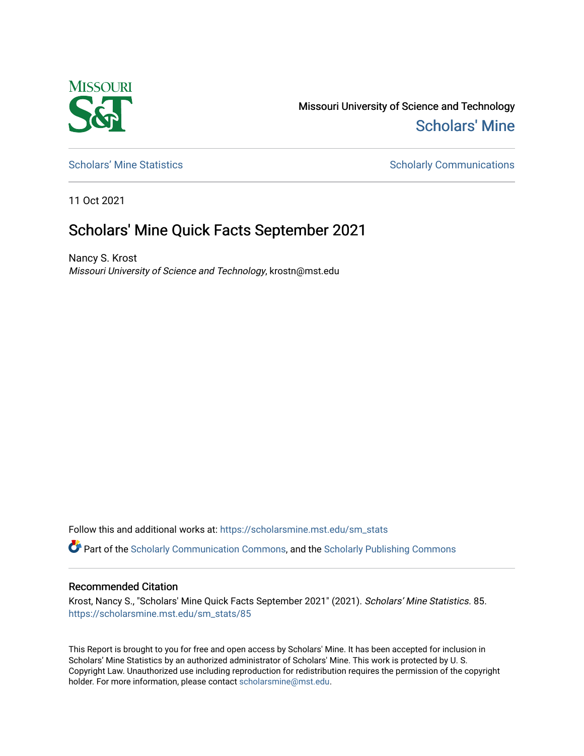

Missouri University of Science and Technology [Scholars' Mine](https://scholarsmine.mst.edu/) 

[Scholars' Mine Statistics](https://scholarsmine.mst.edu/sm_stats) Scholarly Communications

11 Oct 2021

## Scholars' Mine Quick Facts September 2021

Nancy S. Krost Missouri University of Science and Technology, krostn@mst.edu

Follow this and additional works at: [https://scholarsmine.mst.edu/sm\\_stats](https://scholarsmine.mst.edu/sm_stats?utm_source=scholarsmine.mst.edu%2Fsm_stats%2F85&utm_medium=PDF&utm_campaign=PDFCoverPages) 

Part of the [Scholarly Communication Commons,](http://network.bepress.com/hgg/discipline/1272?utm_source=scholarsmine.mst.edu%2Fsm_stats%2F85&utm_medium=PDF&utm_campaign=PDFCoverPages) and the [Scholarly Publishing Commons](http://network.bepress.com/hgg/discipline/1273?utm_source=scholarsmine.mst.edu%2Fsm_stats%2F85&utm_medium=PDF&utm_campaign=PDFCoverPages)

## Recommended Citation

Krost, Nancy S., "Scholars' Mine Quick Facts September 2021" (2021). Scholars' Mine Statistics. 85. [https://scholarsmine.mst.edu/sm\\_stats/85](https://scholarsmine.mst.edu/sm_stats/85?utm_source=scholarsmine.mst.edu%2Fsm_stats%2F85&utm_medium=PDF&utm_campaign=PDFCoverPages)

This Report is brought to you for free and open access by Scholars' Mine. It has been accepted for inclusion in Scholars' Mine Statistics by an authorized administrator of Scholars' Mine. This work is protected by U. S. Copyright Law. Unauthorized use including reproduction for redistribution requires the permission of the copyright holder. For more information, please contact [scholarsmine@mst.edu.](mailto:scholarsmine@mst.edu)